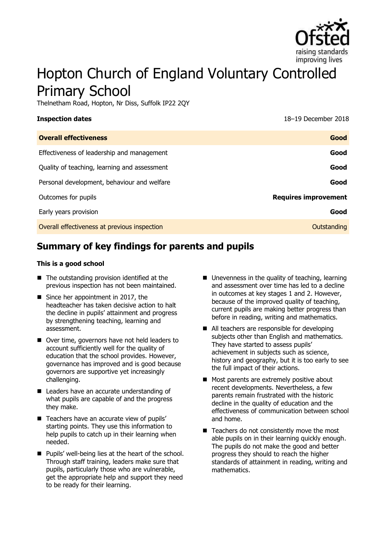

# Hopton Church of England Voluntary Controlled Primary School

Thelnetham Road, Hopton, Nr Diss, Suffolk IP22 2QY

**Inspection dates** 18–19 December 2018

| <b>Overall effectiveness</b>                 | Good                        |
|----------------------------------------------|-----------------------------|
| Effectiveness of leadership and management   | Good                        |
| Quality of teaching, learning and assessment | Good                        |
| Personal development, behaviour and welfare  | Good                        |
| Outcomes for pupils                          | <b>Requires improvement</b> |
| Early years provision                        | Good                        |
| Overall effectiveness at previous inspection | Outstanding                 |

# **Summary of key findings for parents and pupils**

#### **This is a good school**

- The outstanding provision identified at the previous inspection has not been maintained.
- Since her appointment in 2017, the headteacher has taken decisive action to halt the decline in pupils' attainment and progress by strengthening teaching, learning and assessment.
- Over time, governors have not held leaders to account sufficiently well for the quality of education that the school provides. However, governance has improved and is good because governors are supportive yet increasingly challenging.
- Leaders have an accurate understanding of what pupils are capable of and the progress they make.
- Teachers have an accurate view of pupils' starting points. They use this information to help pupils to catch up in their learning when needed.
- **Pupils' well-being lies at the heart of the school.** Through staff training, leaders make sure that pupils, particularly those who are vulnerable, get the appropriate help and support they need to be ready for their learning.
- Unevenness in the quality of teaching, learning and assessment over time has led to a decline in outcomes at key stages 1 and 2. However, because of the improved quality of teaching, current pupils are making better progress than before in reading, writing and mathematics.
- All teachers are responsible for developing subjects other than English and mathematics. They have started to assess pupils' achievement in subjects such as science, history and geography, but it is too early to see the full impact of their actions.
- Most parents are extremely positive about recent developments. Nevertheless, a few parents remain frustrated with the historic decline in the quality of education and the effectiveness of communication between school and home.
- $\blacksquare$  Teachers do not consistently move the most able pupils on in their learning quickly enough. The pupils do not make the good and better progress they should to reach the higher standards of attainment in reading, writing and mathematics.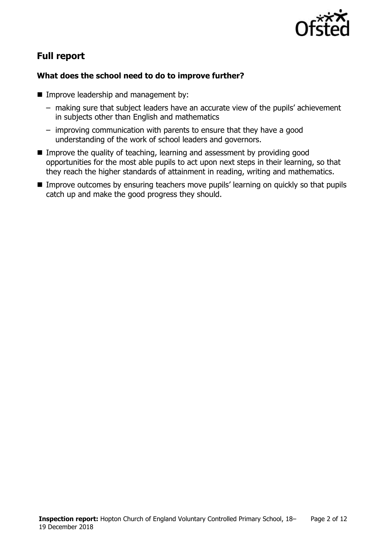

# **Full report**

### **What does the school need to do to improve further?**

- **Improve leadership and management by:** 
	- making sure that subject leaders have an accurate view of the pupils' achievement in subjects other than English and mathematics
	- improving communication with parents to ensure that they have a good understanding of the work of school leaders and governors.
- Improve the quality of teaching, learning and assessment by providing good opportunities for the most able pupils to act upon next steps in their learning, so that they reach the higher standards of attainment in reading, writing and mathematics.
- **IMPROVE OUTCOMES by ensuring teachers move pupils' learning on quickly so that pupils** catch up and make the good progress they should.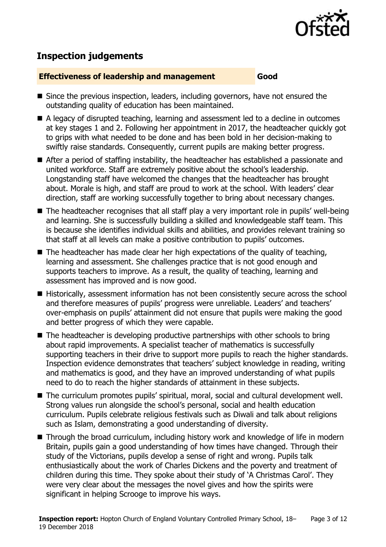

# **Inspection judgements**

#### **Effectiveness of leadership and management Good**

- Since the previous inspection, leaders, including governors, have not ensured the outstanding quality of education has been maintained.
- A legacy of disrupted teaching, learning and assessment led to a decline in outcomes at key stages 1 and 2. Following her appointment in 2017, the headteacher quickly got to grips with what needed to be done and has been bold in her decision-making to swiftly raise standards. Consequently, current pupils are making better progress.
- After a period of staffing instability, the headteacher has established a passionate and united workforce. Staff are extremely positive about the school's leadership. Longstanding staff have welcomed the changes that the headteacher has brought about. Morale is high, and staff are proud to work at the school. With leaders' clear direction, staff are working successfully together to bring about necessary changes.
- The headteacher recognises that all staff play a very important role in pupils' well-being and learning. She is successfully building a skilled and knowledgeable staff team. This is because she identifies individual skills and abilities, and provides relevant training so that staff at all levels can make a positive contribution to pupils' outcomes.
- $\blacksquare$  The headteacher has made clear her high expectations of the quality of teaching, learning and assessment. She challenges practice that is not good enough and supports teachers to improve. As a result, the quality of teaching, learning and assessment has improved and is now good.
- Historically, assessment information has not been consistently secure across the school and therefore measures of pupils' progress were unreliable. Leaders' and teachers' over-emphasis on pupils' attainment did not ensure that pupils were making the good and better progress of which they were capable.
- $\blacksquare$  The headteacher is developing productive partnerships with other schools to bring about rapid improvements. A specialist teacher of mathematics is successfully supporting teachers in their drive to support more pupils to reach the higher standards. Inspection evidence demonstrates that teachers' subject knowledge in reading, writing and mathematics is good, and they have an improved understanding of what pupils need to do to reach the higher standards of attainment in these subjects.
- The curriculum promotes pupils' spiritual, moral, social and cultural development well. Strong values run alongside the school's personal, social and health education curriculum. Pupils celebrate religious festivals such as Diwali and talk about religions such as Islam, demonstrating a good understanding of diversity.
- Through the broad curriculum, including history work and knowledge of life in modern Britain, pupils gain a good understanding of how times have changed. Through their study of the Victorians, pupils develop a sense of right and wrong. Pupils talk enthusiastically about the work of Charles Dickens and the poverty and treatment of children during this time. They spoke about their study of 'A Christmas Carol'. They were very clear about the messages the novel gives and how the spirits were significant in helping Scrooge to improve his ways.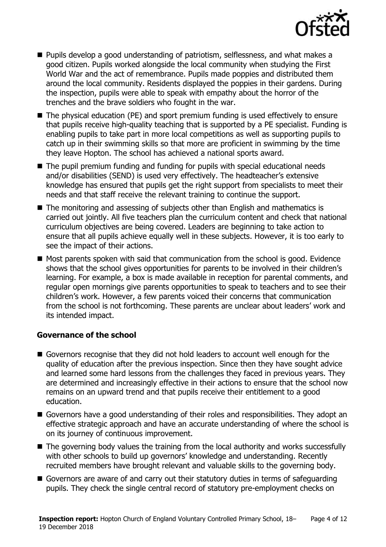

- **Pupils develop a good understanding of patriotism, selflessness, and what makes a** good citizen. Pupils worked alongside the local community when studying the First World War and the act of remembrance. Pupils made poppies and distributed them around the local community. Residents displayed the poppies in their gardens. During the inspection, pupils were able to speak with empathy about the horror of the trenches and the brave soldiers who fought in the war.
- The physical education (PE) and sport premium funding is used effectively to ensure that pupils receive high-quality teaching that is supported by a PE specialist. Funding is enabling pupils to take part in more local competitions as well as supporting pupils to catch up in their swimming skills so that more are proficient in swimming by the time they leave Hopton. The school has achieved a national sports award.
- The pupil premium funding and funding for pupils with special educational needs and/or disabilities (SEND) is used very effectively. The headteacher's extensive knowledge has ensured that pupils get the right support from specialists to meet their needs and that staff receive the relevant training to continue the support.
- The monitoring and assessing of subjects other than English and mathematics is carried out jointly. All five teachers plan the curriculum content and check that national curriculum objectives are being covered. Leaders are beginning to take action to ensure that all pupils achieve equally well in these subjects. However, it is too early to see the impact of their actions.
- $\blacksquare$  Most parents spoken with said that communication from the school is good. Evidence shows that the school gives opportunities for parents to be involved in their children's learning. For example, a box is made available in reception for parental comments, and regular open mornings give parents opportunities to speak to teachers and to see their children's work. However, a few parents voiced their concerns that communication from the school is not forthcoming. These parents are unclear about leaders' work and its intended impact.

### **Governance of the school**

- Governors recognise that they did not hold leaders to account well enough for the quality of education after the previous inspection. Since then they have sought advice and learned some hard lessons from the challenges they faced in previous years. They are determined and increasingly effective in their actions to ensure that the school now remains on an upward trend and that pupils receive their entitlement to a good education.
- Governors have a good understanding of their roles and responsibilities. They adopt an effective strategic approach and have an accurate understanding of where the school is on its journey of continuous improvement.
- The governing body values the training from the local authority and works successfully with other schools to build up governors' knowledge and understanding. Recently recruited members have brought relevant and valuable skills to the governing body.
- Governors are aware of and carry out their statutory duties in terms of safeguarding pupils. They check the single central record of statutory pre-employment checks on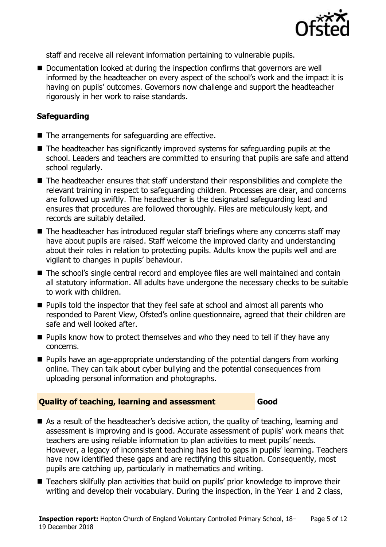

staff and receive all relevant information pertaining to vulnerable pupils.

Documentation looked at during the inspection confirms that governors are well informed by the headteacher on every aspect of the school's work and the impact it is having on pupils' outcomes. Governors now challenge and support the headteacher rigorously in her work to raise standards.

### **Safeguarding**

- The arrangements for safeguarding are effective.
- The headteacher has significantly improved systems for safeguarding pupils at the school. Leaders and teachers are committed to ensuring that pupils are safe and attend school regularly.
- The headteacher ensures that staff understand their responsibilities and complete the relevant training in respect to safeguarding children. Processes are clear, and concerns are followed up swiftly. The headteacher is the designated safeguarding lead and ensures that procedures are followed thoroughly. Files are meticulously kept, and records are suitably detailed.
- The headteacher has introduced regular staff briefings where any concerns staff may have about pupils are raised. Staff welcome the improved clarity and understanding about their roles in relation to protecting pupils. Adults know the pupils well and are vigilant to changes in pupils' behaviour.
- The school's single central record and employee files are well maintained and contain all statutory information. All adults have undergone the necessary checks to be suitable to work with children.
- $\blacksquare$  Pupils told the inspector that they feel safe at school and almost all parents who responded to Parent View, Ofsted's online questionnaire, agreed that their children are safe and well looked after.
- **Pupils know how to protect themselves and who they need to tell if they have any** concerns.
- **Pupils have an age-appropriate understanding of the potential dangers from working** online. They can talk about cyber bullying and the potential consequences from uploading personal information and photographs.

### **Quality of teaching, learning and assessment Good**

- As a result of the headteacher's decisive action, the quality of teaching, learning and assessment is improving and is good. Accurate assessment of pupils' work means that teachers are using reliable information to plan activities to meet pupils' needs. However, a legacy of inconsistent teaching has led to gaps in pupils' learning. Teachers have now identified these gaps and are rectifying this situation. Consequently, most pupils are catching up, particularly in mathematics and writing.
- Teachers skilfully plan activities that build on pupils' prior knowledge to improve their writing and develop their vocabulary. During the inspection, in the Year 1 and 2 class,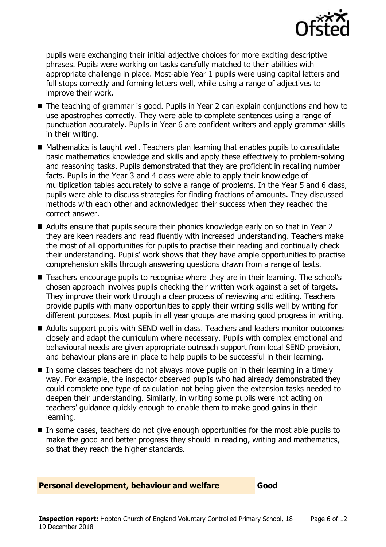

pupils were exchanging their initial adjective choices for more exciting descriptive phrases. Pupils were working on tasks carefully matched to their abilities with appropriate challenge in place. Most-able Year 1 pupils were using capital letters and full stops correctly and forming letters well, while using a range of adjectives to improve their work.

- The teaching of grammar is good. Pupils in Year 2 can explain conjunctions and how to use apostrophes correctly. They were able to complete sentences using a range of punctuation accurately. Pupils in Year 6 are confident writers and apply grammar skills in their writing.
- $\blacksquare$  Mathematics is taught well. Teachers plan learning that enables pupils to consolidate basic mathematics knowledge and skills and apply these effectively to problem-solving and reasoning tasks. Pupils demonstrated that they are proficient in recalling number facts. Pupils in the Year 3 and 4 class were able to apply their knowledge of multiplication tables accurately to solve a range of problems. In the Year 5 and 6 class, pupils were able to discuss strategies for finding fractions of amounts. They discussed methods with each other and acknowledged their success when they reached the correct answer.
- Adults ensure that pupils secure their phonics knowledge early on so that in Year 2 they are keen readers and read fluently with increased understanding. Teachers make the most of all opportunities for pupils to practise their reading and continually check their understanding. Pupils' work shows that they have ample opportunities to practise comprehension skills through answering questions drawn from a range of texts.
- Teachers encourage pupils to recognise where they are in their learning. The school's chosen approach involves pupils checking their written work against a set of targets. They improve their work through a clear process of reviewing and editing. Teachers provide pupils with many opportunities to apply their writing skills well by writing for different purposes. Most pupils in all year groups are making good progress in writing.
- Adults support pupils with SEND well in class. Teachers and leaders monitor outcomes closely and adapt the curriculum where necessary. Pupils with complex emotional and behavioural needs are given appropriate outreach support from local SEND provision, and behaviour plans are in place to help pupils to be successful in their learning.
- $\blacksquare$  In some classes teachers do not always move pupils on in their learning in a timely way. For example, the inspector observed pupils who had already demonstrated they could complete one type of calculation not being given the extension tasks needed to deepen their understanding. Similarly, in writing some pupils were not acting on teachers' guidance quickly enough to enable them to make good gains in their learning.
- In some cases, teachers do not give enough opportunities for the most able pupils to make the good and better progress they should in reading, writing and mathematics, so that they reach the higher standards.

#### **Personal development, behaviour and welfare Good**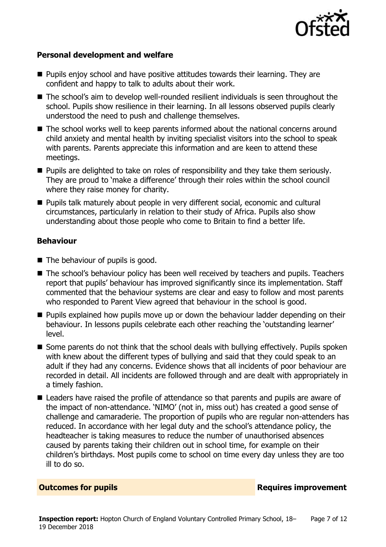

#### **Personal development and welfare**

- **Pupils enjoy school and have positive attitudes towards their learning. They are** confident and happy to talk to adults about their work.
- The school's aim to develop well-rounded resilient individuals is seen throughout the school. Pupils show resilience in their learning. In all lessons observed pupils clearly understood the need to push and challenge themselves.
- The school works well to keep parents informed about the national concerns around child anxiety and mental health by inviting specialist visitors into the school to speak with parents. Parents appreciate this information and are keen to attend these meetings.
- **Pupils are delighted to take on roles of responsibility and they take them seriously.** They are proud to 'make a difference' through their roles within the school council where they raise money for charity.
- **Pupils talk maturely about people in very different social, economic and cultural** circumstances, particularly in relation to their study of Africa. Pupils also show understanding about those people who come to Britain to find a better life.

#### **Behaviour**

- $\blacksquare$  The behaviour of pupils is good.
- The school's behaviour policy has been well received by teachers and pupils. Teachers report that pupils' behaviour has improved significantly since its implementation. Staff commented that the behaviour systems are clear and easy to follow and most parents who responded to Parent View agreed that behaviour in the school is good.
- **Pupils explained how pupils move up or down the behaviour ladder depending on their** behaviour. In lessons pupils celebrate each other reaching the 'outstanding learner' level.
- Some parents do not think that the school deals with bullying effectively. Pupils spoken with knew about the different types of bullying and said that they could speak to an adult if they had any concerns. Evidence shows that all incidents of poor behaviour are recorded in detail. All incidents are followed through and are dealt with appropriately in a timely fashion.
- Leaders have raised the profile of attendance so that parents and pupils are aware of the impact of non-attendance. 'NIMO' (not in, miss out) has created a good sense of challenge and camaraderie. The proportion of pupils who are regular non-attenders has reduced. In accordance with her legal duty and the school's attendance policy, the headteacher is taking measures to reduce the number of unauthorised absences caused by parents taking their children out in school time, for example on their children's birthdays. Most pupils come to school on time every day unless they are too ill to do so.

#### **Outcomes for pupils Requires improvement**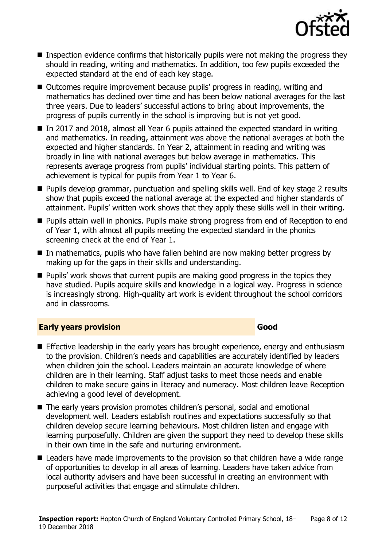

- Inspection evidence confirms that historically pupils were not making the progress they should in reading, writing and mathematics. In addition, too few pupils exceeded the expected standard at the end of each key stage.
- Outcomes require improvement because pupils' progress in reading, writing and mathematics has declined over time and has been below national averages for the last three years. Due to leaders' successful actions to bring about improvements, the progress of pupils currently in the school is improving but is not yet good.
- In 2017 and 2018, almost all Year 6 pupils attained the expected standard in writing and mathematics. In reading, attainment was above the national averages at both the expected and higher standards. In Year 2, attainment in reading and writing was broadly in line with national averages but below average in mathematics. This represents average progress from pupils' individual starting points. This pattern of achievement is typical for pupils from Year 1 to Year 6.
- **Pupils develop grammar, punctuation and spelling skills well. End of key stage 2 results** show that pupils exceed the national average at the expected and higher standards of attainment. Pupils' written work shows that they apply these skills well in their writing.
- **Pupils attain well in phonics. Pupils make strong progress from end of Reception to end** of Year 1, with almost all pupils meeting the expected standard in the phonics screening check at the end of Year 1.
- In mathematics, pupils who have fallen behind are now making better progress by making up for the gaps in their skills and understanding.
- **Pupils' work shows that current pupils are making good progress in the topics they** have studied. Pupils acquire skills and knowledge in a logical way. Progress in science is increasingly strong. High-quality art work is evident throughout the school corridors and in classrooms.

### **Early years provision Good Good**

- **Effective leadership in the early years has brought experience, energy and enthusiasm** to the provision. Children's needs and capabilities are accurately identified by leaders when children join the school. Leaders maintain an accurate knowledge of where children are in their learning. Staff adjust tasks to meet those needs and enable children to make secure gains in literacy and numeracy. Most children leave Reception achieving a good level of development.
- The early years provision promotes children's personal, social and emotional development well. Leaders establish routines and expectations successfully so that children develop secure learning behaviours. Most children listen and engage with learning purposefully. Children are given the support they need to develop these skills in their own time in the safe and nurturing environment.
- Leaders have made improvements to the provision so that children have a wide range of opportunities to develop in all areas of learning. Leaders have taken advice from local authority advisers and have been successful in creating an environment with purposeful activities that engage and stimulate children.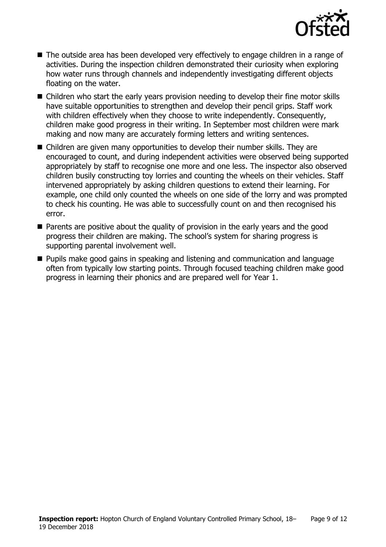

- The outside area has been developed very effectively to engage children in a range of activities. During the inspection children demonstrated their curiosity when exploring how water runs through channels and independently investigating different objects floating on the water.
- Children who start the early years provision needing to develop their fine motor skills have suitable opportunities to strengthen and develop their pencil grips. Staff work with children effectively when they choose to write independently. Consequently, children make good progress in their writing. In September most children were mark making and now many are accurately forming letters and writing sentences.
- Children are given many opportunities to develop their number skills. They are encouraged to count, and during independent activities were observed being supported appropriately by staff to recognise one more and one less. The inspector also observed children busily constructing toy lorries and counting the wheels on their vehicles. Staff intervened appropriately by asking children questions to extend their learning. For example, one child only counted the wheels on one side of the lorry and was prompted to check his counting. He was able to successfully count on and then recognised his error.
- **Parents are positive about the quality of provision in the early years and the good** progress their children are making. The school's system for sharing progress is supporting parental involvement well.
- **Pupils make good gains in speaking and listening and communication and language** often from typically low starting points. Through focused teaching children make good progress in learning their phonics and are prepared well for Year 1.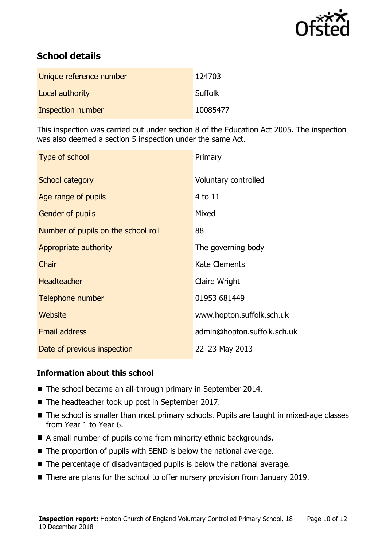

# **School details**

| Unique reference number | 124703         |
|-------------------------|----------------|
| Local authority         | <b>Suffolk</b> |
| Inspection number       | 10085477       |

This inspection was carried out under section 8 of the Education Act 2005. The inspection was also deemed a section 5 inspection under the same Act.

| Type of school                      | Primary                     |
|-------------------------------------|-----------------------------|
| <b>School category</b>              | Voluntary controlled        |
| Age range of pupils                 | $4$ to $11$                 |
| <b>Gender of pupils</b>             | Mixed                       |
| Number of pupils on the school roll | 88                          |
| Appropriate authority               | The governing body          |
| Chair                               | <b>Kate Clements</b>        |
| <b>Headteacher</b>                  | Claire Wright               |
| Telephone number                    | 01953 681449                |
| Website                             | www.hopton.suffolk.sch.uk   |
| <b>Email address</b>                | admin@hopton.suffolk.sch.uk |
| Date of previous inspection         | 22-23 May 2013              |

### **Information about this school**

- The school became an all-through primary in September 2014.
- The headteacher took up post in September 2017.
- The school is smaller than most primary schools. Pupils are taught in mixed-age classes from Year 1 to Year 6.
- A small number of pupils come from minority ethnic backgrounds.
- $\blacksquare$  The proportion of pupils with SEND is below the national average.
- The percentage of disadvantaged pupils is below the national average.
- There are plans for the school to offer nursery provision from January 2019.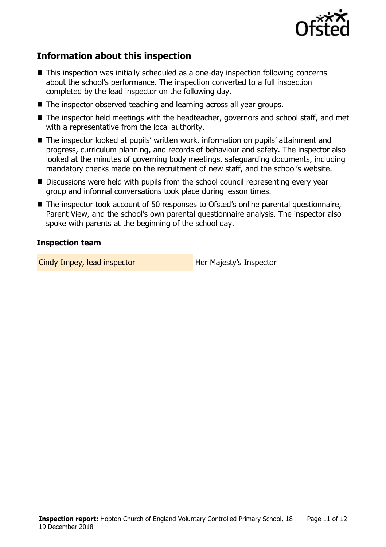

# **Information about this inspection**

- This inspection was initially scheduled as a one-day inspection following concerns about the school's performance. The inspection converted to a full inspection completed by the lead inspector on the following day.
- The inspector observed teaching and learning across all year groups.
- The inspector held meetings with the headteacher, governors and school staff, and met with a representative from the local authority.
- The inspector looked at pupils' written work, information on pupils' attainment and progress, curriculum planning, and records of behaviour and safety. The inspector also looked at the minutes of governing body meetings, safeguarding documents, including mandatory checks made on the recruitment of new staff, and the school's website.
- Discussions were held with pupils from the school council representing every year group and informal conversations took place during lesson times.
- The inspector took account of 50 responses to Ofsted's online parental questionnaire, Parent View, and the school's own parental questionnaire analysis. The inspector also spoke with parents at the beginning of the school day.

#### **Inspection team**

Cindy Impey, lead inspector **Her Majesty's Inspector**